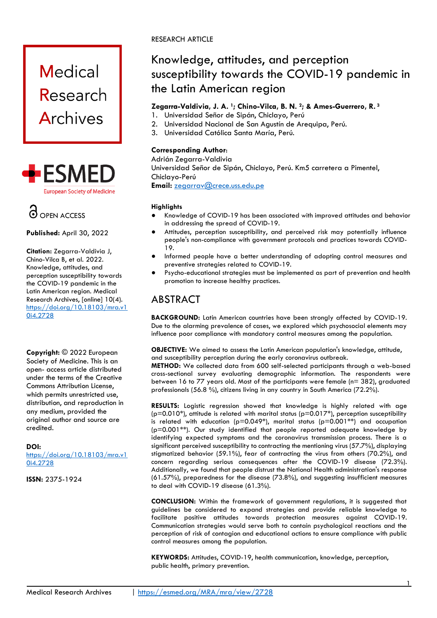# **Medical** Research Archives





**Published:** April 30, 2022

**Citation:** Zegarra-Valdivia J, Chino-Vilca B, et al. 2022. Knowledge, attitudes, and perception susceptibility towards the COVID-19 pandemic in the Latin American region. Medical Research Archives, [online] 10(4). [https://doi.org/10.18103/mra.v1](https://doi.org/10.18103/mra.v10i4.2728) [0i4.2728](https://doi.org/10.18103/mra.v10i4.2728)

**Copyright:** © 2022 European Society of Medicine. This is an open- access article distributed under the terms of the Creative Commons Attribution License, which permits unrestricted use, distribution, and reproduction in any medium, provided the original author and source are credited.

#### **DOI:**

[https://doi.org/10.18103/mra.v1](https://doi.org/10.18103/mra.v10i4.2728) [0i4.2728](https://doi.org/10.18103/mra.v10i4.2728)

**ISSN:** 2375-1924

#### RESEARCH ARTICLE

## Knowledge, attitudes, and perception susceptibility towards the COVID-19 pandemic in the Latin American region

#### **Zegarra-Valdivia, J. A. 1; Chino-Vilca, B. N. 2; & Ames-Guerrero, R. <sup>3</sup>**

- 1. Universidad Señor de Sipán, Chiclayo, Perú
- 2. Universidad Nacional de San Agustín de Arequipa, Perú.
- 3. Universidad Católica Santa María, Perú.

#### **Corresponding Author**:

Adrián Zegarra-Valdivia Universidad Señor de Sipán, Chiclayo, Perú. Km5 carretera a Pimentel, Chiclayo-Perú **Email:** zegarrav@crece.uss.edu.pe

#### **Highlights**

- Knowledge of COVID-19 has been associated with improved attitudes and behavior in addressing the spread of COVID-19.
- Attitudes, perception susceptibility, and perceived risk may potentially influence people's non-compliance with government protocols and practices towards COVID-19.
- Informed people have a better understanding of adopting control measures and preventive strategies related to COVID-19.
- Psycho-educational strategies must be implemented as part of prevention and health promotion to increase healthy practices.

### ABSTRACT

**BACKGROUND:** Latin American countries have been strongly affected by COVID-19. Due to the alarming prevalence of cases, we explored which psychosocial elements may influence poor compliance with mandatory control measures among the population.

**OBJECTIVE:** We aimed to assess the Latin American population's knowledge, attitude, and susceptibility perception during the early coronavirus outbreak.

**METHOD:** We collected data from 600 self-selected participants through a web-based cross-sectional survey evaluating demographic information. The respondents were between 16 to 77 years old. Most of the participants were female (n= 382), graduated professionals (56.8 %), citizens living in any country in South America (72.2%).

**RESULTS:** Logistic regression showed that knowledge is highly related with age ( $p=0.010^*$ ), attitude is related with marital status ( $p=0.017^*$ ), perception susceptibility is related with education ( $p=0.049^*$ ), marital status ( $p=0.001^{**}$ ) and occupation (p=0.001\*\*). Our study identified that people reported adequate knowledge by identifying expected symptoms and the coronavirus transmission process. There is a significant perceived susceptibility to contracting the mentioning virus (57.7%), displaying stigmatized behavior (59.1%), fear of contracting the virus from others (70.2%), and concern regarding serious consequences after the COVID-19 disease (72.3%). Additionally, we found that people distrust the National Health administration's response (61.57%), preparedness for the disease (73.8%), and suggesting insufficient measures to deal with COVID-19 disease (61.3%).

**CONCLUSION:** Within the framework of government regulations, it is suggested that guidelines be considered to expand strategies and provide reliable knowledge to facilitate positive attitudes towards protection measures against COVID-19. Communication strategies would serve both to contain psychological reactions and the perception of risk of contagion and educational actions to ensure compliance with public control measures among the population.

**KEYWORDS:** Attitudes, COVID-19, health communication, knowledge, perception, public health, primary prevention.

1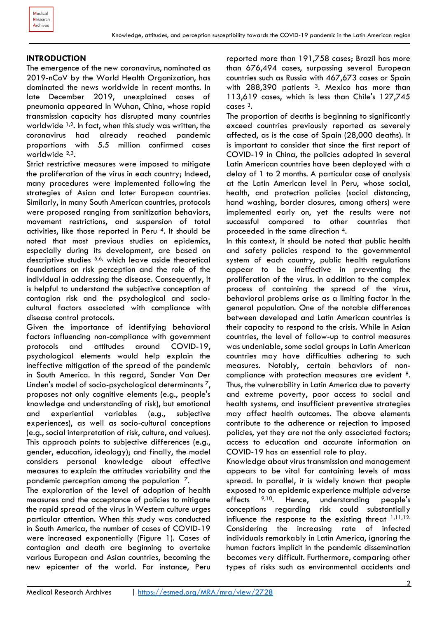#### **INTRODUCTION**

The emergence of the new coronavirus, nominated as 2019-nCoV by the World Health Organization, has dominated the news worldwide in recent months. In late December 2019, unexplained cases of pneumonia appeared in Wuhan, China, whose rapid transmission capacity has disrupted many countries worldwide  $1,2$ . In fact, when this study was written, the coronavirus had already reached pandemic proportions with 5.5 million confirmed cases worldwide 2,3.

Strict restrictive measures were imposed to mitigate the proliferation of the virus in each country; Indeed, many procedures were implemented following the strategies of Asian and later European countries. Similarly, in many South American countries, protocols were proposed ranging from sanitization behaviors, movement restrictions, and suspension of total activities, like those reported in Peru 4. It should be noted that most previous studies on epidemics, especially during its development, are based on descriptive studies  $5,6$ , which leave aside theoretical foundations on risk perception and the role of the individual in addressing the disease. Consequently, it is helpful to understand the subjective conception of contagion risk and the psychological and sociocultural factors associated with compliance with disease control protocols.

Given the importance of identifying behavioral factors influencing non-compliance with government protocols and attitudes around COVID-19, psychological elements would help explain the ineffective mitigation of the spread of the pandemic in South America. In this regard, Sander Van Der Linden's model of socio-psychological determinants<sup>7</sup>, proposes not only cognitive elements (e.g., people's knowledge and understanding of risk), but emotional and experiential variables (e.g., subjective experiences), as well as socio-cultural conceptions (e.g., social interpretation of risk, culture, and values). This approach points to subjective differences (e.g., gender, education, ideology); and finally, the model considers personal knowledge about effective measures to explain the attitudes variability and the pandemic perception among the population 7.

The exploration of the level of adoption of health measures and the acceptance of policies to mitigate the rapid spread of the virus in Western culture urges particular attention. When this study was conducted in South America, the number of cases of COVID-19 were increased exponentially (Figure 1). Cases of contagion and death are beginning to overtake various European and Asian countries, becoming the new epicenter of the world. For instance, Peru reported more than 191,758 cases; Brazil has more than 676,494 cases, surpassing several European countries such as Russia with 467,673 cases or Spain with 288,390 patients <sup>3</sup>. Mexico has more than 113,619 cases, which is less than Chile's 127,745 cases 3.

The proportion of deaths is beginning to significantly exceed countries previously reported as severely affected, as is the case of Spain (28,000 deaths). It is important to consider that since the first report of COVID-19 in China, the policies adopted in several Latin American countries have been deployed with a delay of 1 to 2 months. A particular case of analysis at the Latin American level in Peru, whose social, health, and protection policies (social distancing, hand washing, border closures, among others) were implemented early on, yet the results were not successful compared to other countries that proceeded in the same direction 4.

In this context, it should be noted that public health and safety policies respond to the governmental system of each country, public health regulations appear to be ineffective in preventing the proliferation of the virus. In addition to the complex process of containing the spread of the virus, behavioral problems arise as a limiting factor in the general population. One of the notable differences between developed and Latin American countries is their capacity to respond to the crisis. While in Asian countries, the level of follow-up to control measures was undeniable, some social groups in Latin American countries may have difficulties adhering to such measures. Notably, certain behaviors of noncompliance with protection measures are evident 8. Thus, the vulnerability in Latin America due to poverty and extreme poverty, poor access to social and health systems, and insufficient preventive strategies may affect health outcomes. The above elements contribute to the adherence or rejection to imposed policies, yet they are not the only associated factors; access to education and accurate information on COVID-19 has an essential role to play.

Knowledge about virus transmission and management appears to be vital for containing levels of mass spread. In parallel, it is widely known that people exposed to an epidemic experience multiple adverse effects 9,10. Hence, understanding people's conceptions regarding risk could substantially influence the response to the existing threat  $1,11,12$ . Considering the increasing rate of infected individuals remarkably in Latin America, ignoring the human factors implicit in the pandemic dissemination becomes very difficult. Furthermore, comparing other types of risks such as environmental accidents and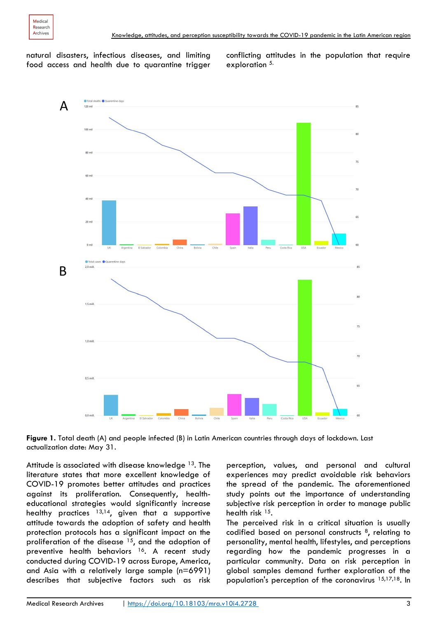

natural disasters, infectious diseases, and limiting food access and health due to quarantine trigger conflicting attitudes in the population that require exploration 5.



**Figure 1.** Total death (A) and people infected (B) in Latin American countries through days of lockdown. Last actualization date: May 31.

Attitude is associated with disease knowledge <sup>13</sup>. The literature states that more excellent knowledge of COVID-19 promotes better attitudes and practices against its proliferation. Consequently, healtheducational strategies would significantly increase healthy practices  $13,14$ , given that a supportive attitude towards the adoption of safety and health protection protocols has a significant impact on the proliferation of the disease  $15$ , and the adoption of preventive health behaviors 16. A recent study conducted during COVID-19 across Europe, America, and Asia with a relatively large sample (n=6991) describes that subjective factors such as risk perception, values, and personal and cultural experiences may predict avoidable risk behaviors the spread of the pandemic. The aforementioned study points out the importance of understanding subjective risk perception in order to manage public health risk 15.

The perceived risk in a critical situation is usually codified based on personal constructs 8, relating to personality, mental health, lifestyles, and perceptions regarding how the pandemic progresses in a particular community. Data on risk perception in global samples demand further exploration of the population's perception of the coronavirus 15,17,18. In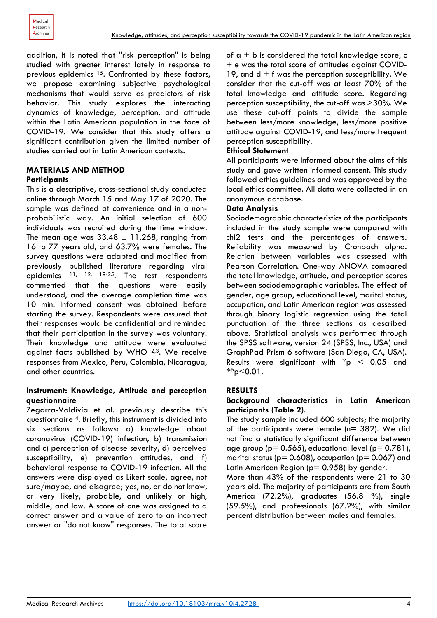addition, it is noted that "risk perception" is being studied with greater interest lately in response to previous epidemics <sup>15</sup>. Confronted by these factors, we propose examining subjective psychological mechanisms that would serve as predictors of risk behavior. This study explores the interacting dynamics of knowledge, perception, and attitude within the Latin American population in the face of COVID-19. We consider that this study offers a significant contribution given the limited number of studies carried out in Latin American contexts.

#### **MATERIALS AND METHOD Participants**

This is a descriptive, cross-sectional study conducted online through March 15 and May 17 of 2020. The sample was defined at convenience and in a nonprobabilistic way. An initial selection of 600 individuals was recruited during the time window. The mean age was  $33.48 \pm 11.268$ , ranging from 16 to 77 years old, and 63.7% were females. The survey questions were adapted and modified from previously published literature regarding viral epidemics <sup>11, 12, 19-25</sup>. The test respondents commented that the questions were easily understood, and the average completion time was 10 min. Informed consent was obtained before starting the survey. Respondents were assured that their responses would be confidential and reminded that their participation in the survey was voluntary. Their knowledge and attitude were evaluated against facts published by WHO 2,3. We receive responses from Mexico, Peru, Colombia, Nicaragua, and other countries.

#### **Instrument: Knowledge, Attitude and perception questionnaire**

Zegarra-Valdivia et al. previously describe this questionnaire 4. Briefly, this instrument is divided into six sections as follows: a) knowledge about coronavirus (COVID-19) infection, b) transmission and c) perception of disease severity, d) perceived susceptibility, e) prevention attitudes, and f) behavioral response to COVID-19 infection. All the answers were displayed as Likert scale, agree, not sure/maybe, and disagree; yes, no, or do not know, or very likely, probable, and unlikely or high, middle, and low. A score of one was assigned to a correct answer and a value of zero to an incorrect answer or "do not know" responses. The total score

of  $a + b$  is considered the total knowledge score, c + e was the total score of attitudes against COVID-19, and  $d + f$  was the perception susceptibility. We consider that the cut-off was at least 70% of the total knowledge and attitude score. Regarding perception susceptibility, the cut-off was >30%. We use these cut-off points to divide the sample between less/more knowledge, less/more positive attitude against COVID-19, and less/more frequent perception susceptibility.

#### **Ethical Statement**

All participants were informed about the aims of this study and gave written informed consent. This study followed ethics guidelines and was approved by the local ethics committee. All data were collected in an anonymous database.

#### **Data Analysis**

Sociodemographic characteristics of the participants included in the study sample were compared with chi2 tests and the percentages of answers. Reliability was measured by Cronbach alpha. Relation between variables was assessed with Pearson Correlation. One-way ANOVA compared the total knowledge, attitude, and perception scores between sociodemographic variables. The effect of gender, age group, educational level, marital status, occupation, and Latin American region was assessed through binary logistic regression using the total punctuation of the three sections as described above. Statistical analysis was performed through the SPSS software, version 24 (SPSS, Inc., USA) and GraphPad Prism 6 software (San Diego, CA, USA). Results were significant with  $*_{p} < 0.05$  and \*\*p<0.01.

#### **RESULTS**

#### **Background characteristics in Latin American participants (Table 2)**.

The study sample included 600 subjects; the majority of the participants were female (n= 382). We did not find a statistically significant difference between age group ( $p = 0.565$ ), educational level ( $p = 0.781$ ), marital status ( $p = 0.608$ ), occupation ( $p = 0.067$ ) and Latin American Region ( $p= 0.958$ ) by gender.

More than 43% of the respondents were 21 to 30 years old. The majority of participants are from South America (72.2%), graduates (56.8 %), single (59.5%), and professionals (67.2%), with similar percent distribution between males and females.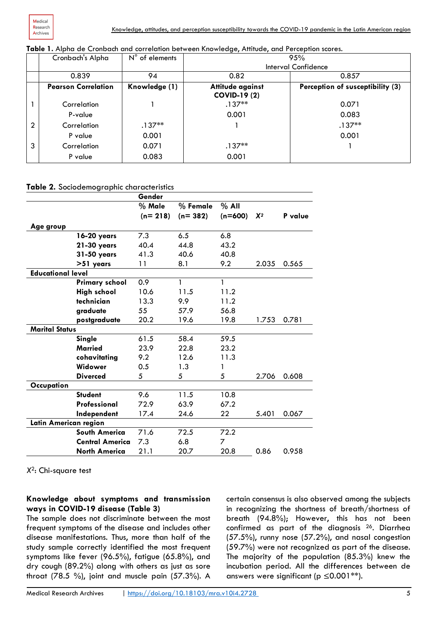|  |  |  | Table 1. Alpha de Cronbach and correlation between Knowledge, Attitude, and Perception scores |
|--|--|--|-----------------------------------------------------------------------------------------------|
|  |  |  |                                                                                               |

|                | Cronbach's Alpha           | $N^{\circ}$ of elements |                                         | 95%                              |
|----------------|----------------------------|-------------------------|-----------------------------------------|----------------------------------|
|                |                            |                         |                                         | Interval Confidence              |
|                | 0.839                      | 94                      | 0.82                                    | 0.857                            |
|                | <b>Pearson Correlation</b> | Knowledge (1)           | Attitude against<br><b>COVID-19 (2)</b> | Perception of susceptibility (3) |
|                | Correlation                |                         | $.137**$                                | 0.071                            |
|                | P-value                    |                         | 0.001                                   | 0.083                            |
| $\overline{2}$ | Correlation                | $.137**$                |                                         | $.137**$                         |
|                | P value                    | 0.001                   |                                         | 0.001                            |
| 3              | Correlation                | 0.071                   | $.137**$                                |                                  |
|                | P value                    | 0.083                   | 0.001                                   |                                  |
|                |                            |                         |                                         |                                  |

#### **Table 2.** Sociodemographic characteristics

|                          |                        | Gender    |            |           |       |         |
|--------------------------|------------------------|-----------|------------|-----------|-------|---------|
|                          |                        | % Male    | $%$ Female | $%$ All   |       |         |
|                          |                        | $(n=218)$ | $(n=382)$  | $(n=600)$ | $X^2$ | P value |
| Age group                |                        |           |            |           |       |         |
|                          | 16-20 years            | 7.3       | 6.5        | 6.8       |       |         |
|                          | 21-30 years            | 40.4      | 44.8       | 43.2      |       |         |
|                          | 31-50 years            | 41.3      | 40.6       | 40.8      |       |         |
|                          | >51 years              | 11        | 8.1        | 9.2       | 2.035 | 0.565   |
| <b>Educational level</b> |                        |           |            |           |       |         |
|                          | <b>Primary school</b>  | 0.9       | 1          | 1         |       |         |
|                          | <b>High school</b>     | 10.6      | 11.5       | 11.2      |       |         |
|                          | technician             | 13.3      | 9.9        | 11.2      |       |         |
|                          | graduate               | 55        | 57.9       | 56.8      |       |         |
|                          | postgraduate           | 20.2      | 19.6       | 19.8      | 1.753 | 0.781   |
| <b>Marital Status</b>    |                        |           |            |           |       |         |
|                          | Single                 | 61.5      | 58.4       | 59.5      |       |         |
|                          | <b>Married</b>         | 23.9      | 22.8       | 23.2      |       |         |
|                          | cohavitating           | 9.2       | 12.6       | 11.3      |       |         |
|                          | Widower                | 0.5       | 1.3        | 1         |       |         |
|                          | <b>Diverced</b>        | 5         | 5          | 5         | 2.706 | 0.608   |
| Occupation               |                        |           |            |           |       |         |
|                          | <b>Student</b>         | 9.6       | 11.5       | 10.8      |       |         |
|                          | Professional           | 72.9      | 63.9       | 67.2      |       |         |
|                          | Independent            | 17.4      | 24.6       | 22        | 5.401 | 0.067   |
| Latin American region    |                        |           |            |           |       |         |
|                          | <b>South America</b>   | 71.6      | 72.5       | 72.2      |       |         |
|                          | <b>Central America</b> | 7.3       | 6.8        | 7         |       |         |
|                          | <b>North America</b>   | 21.1      | 20.7       | 20.8      | 0.86  | 0.958   |

*X*2: Chi-square test

#### **Knowledge about symptoms and transmission ways in COVID-19 disease (Table 3)**

The sample does not discriminate between the most frequent symptoms of the disease and includes other disease manifestations. Thus, more than half of the study sample correctly identified the most frequent symptoms like fever (96.5%), fatigue (65.8%), and dry cough (89.2%) along with others as just as sore throat (78.5 %), joint and muscle pain (57.3%). A

certain consensus is also observed among the subjects in recognizing the shortness of breath/shortness of breath (94.8%); However, this has not been confirmed as part of the diagnosis 26. Diarrhea (57.5%), runny nose (57.2%), and nasal congestion (59.7%) were not recognized as part of the disease. The majority of the population (85.3%) knew the incubation period. All the differences between de answers were significant ( $p \leq 0.001**$ ).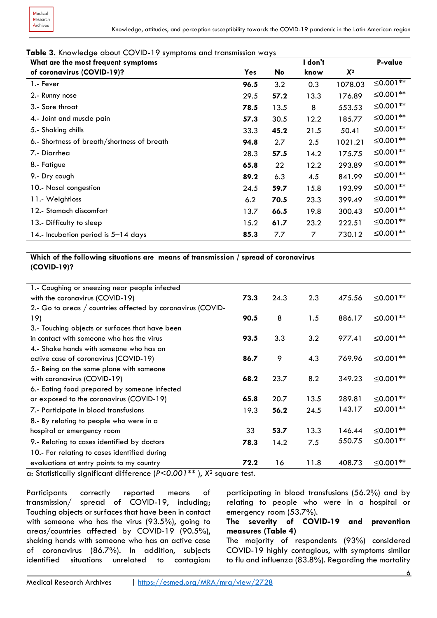#### **Table 3.** Knowledge about COVID-19 symptoms and transmission ways

| What are the most frequent symptoms         |            |      | I don't |         | P-value              |
|---------------------------------------------|------------|------|---------|---------|----------------------|
| of coronavirus (COVID-19)?                  | <b>Yes</b> | No   | know    | $X^2$   |                      |
| 1.- Fever                                   | 96.5       | 3.2  | 0.3     | 1078.03 | ≤0.001 <sup>**</sup> |
| 2.- Runny nose                              | 29.5       | 57.2 | 13.3    | 176.89  | ≤0.001 <sup>**</sup> |
| 3.- Sore throat                             | 78.5       | 13.5 | 8       | 553.53  | ≤0.001 <sup>**</sup> |
| 4.- Joint and muscle pain                   | 57.3       | 30.5 | 12.2    | 185.77  | $\leq 0.001**$       |
| 5.- Shaking chills                          | 33.3       | 45.2 | 21.5    | 50.41   | ≤0.001 <sup>**</sup> |
| 6.- Shortness of breath/shortness of breath | 94.8       | 2.7  | 2.5     | 1021.21 | ≤0.001 <sup>**</sup> |
| 7.- Diarrhea                                | 28.3       | 57.5 | 14.2    | 175.75  | $\leq 0.001**$       |
| 8.- Fatigue                                 | 65.8       | 22   | 12.2    | 293.89  | ≤0.001 <sup>**</sup> |
| 9.- Dry cough                               | 89.2       | 6.3  | 4.5     | 841.99  | ≤0.001 <sup>**</sup> |
| 10.- Nasal congestion                       | 24.5       | 59.7 | 15.8    | 193.99  | $\leq 0.001**$       |
| 11. Weightloss                              | 6.2        | 70.5 | 23.3    | 399.49  | ≤0.001 <sup>**</sup> |
| 12.- Stomach discomfort                     | 13.7       | 66.5 | 19.8    | 300.43  | ≤0.001 <sup>**</sup> |
| 13.- Difficulty to sleep                    | 15.2       | 61.7 | 23.2    | 222.51  | ≤0.001 <sup>**</sup> |
| 14.- Incubation period is 5-14 days         | 85.3       | 7.7  | 7       | 730.12  | ≤0.001 <sup>**</sup> |

#### **Which of the following situations are means of transmission / spread of coronavirus (COVID-19)?**

| 73.3 | 24.3 | 2.3  | 475.56 | ≤0.001 <sup>**</sup> |
|------|------|------|--------|----------------------|
|      |      |      |        |                      |
| 90.5 | 8    | 1.5  | 886.17 | ≤0.001 <sup>**</sup> |
|      |      |      |        |                      |
| 93.5 | 3.3  | 3.2  | 977.41 | ≤0.001 <sup>**</sup> |
|      |      |      |        |                      |
| 86.7 | 9    | 4.3  | 769.96 | $\leq 0.001**$       |
|      |      |      |        |                      |
| 68.2 | 23.7 | 8.2  | 349.23 | ≤0.001 <sup>**</sup> |
|      |      |      |        |                      |
| 65.8 | 20.7 | 13.5 | 289.81 | $≤0.001**$           |
| 19.3 | 56.2 | 24.5 | 143.17 | ≤0.001 <sup>**</sup> |
|      |      |      |        |                      |
| 33   | 53.7 | 13.3 | 146.44 | ≤0.001 <sup>**</sup> |
| 78.3 | 14.2 | 7.5  | 550.75 | $≤0.001**$           |
|      |      |      |        |                      |
| 72.2 | 16   | 11.8 | 408.73 | $≤0.001**$           |
|      |      |      |        |                      |

a: Statistically significant difference (*P<0.001\*\** ), *X*<sup>2</sup> square test.

Participants correctly reported means of transmission/ spread of COVID-19, including; Touching objects or surfaces that have been in contact with someone who has the virus (93.5%), going to areas/countries affected by COVID-19 (90.5%), shaking hands with someone who has an active case of coronavirus (86.7%). In addition, subjects identified situations unrelated to contagion: participating in blood transfusions (56.2%) and by relating to people who were in a hospital or emergency room (53.7%).

#### **The severity of COVID-19 and prevention measures (Table 4)**

The majority of respondents (93%) considered COVID-19 highly contagious, with symptoms similar to flu and influenza (83.8%). Regarding the mortality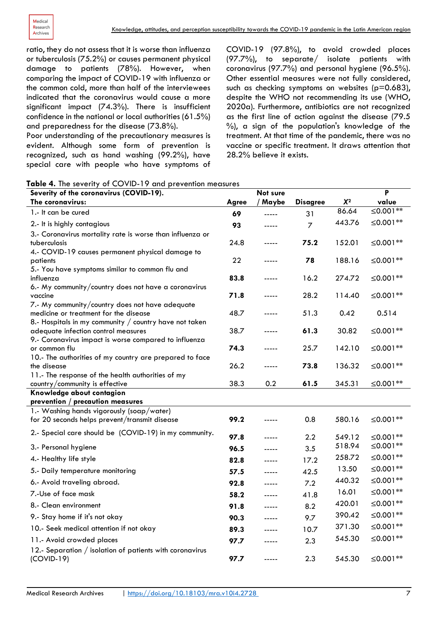ratio, they do not assess that it is worse than influenza or tuberculosis (75.2%) or causes permanent physical damage to patients (78%). However, when comparing the impact of COVID-19 with influenza or the common cold, more than half of the interviewees indicated that the coronavirus would cause a more significant impact (74.3%). There is insufficient confidence in the national or local authorities (61.5%) and preparedness for the disease (73.8%).

Poor understanding of the precautionary measures is evident. Although some form of prevention is recognized, such as hand washing (99.2%), have special care with people who have symptoms of COVID-19 (97.8%), to avoid crowded places (97.7%), to separate/ isolate patients with coronavirus (97.7%) and personal hygiene (96.5%). Other essential measures were not fully considered, such as checking symptoms on websites ( $p=0.683$ ), despite the WHO not recommending its use (WHO, 2020a). Furthermore, antibiotics are not recognized as the first line of action against the disease (79.5 %), a sign of the population's knowledge of the treatment. At that time of the pandemic, there was no vaccine or specific treatment. It draws attention that 28.2% believe it exists.

|  |  |  |  |  |  | Table 4. The severity of COVID-19 and prevention measures |
|--|--|--|--|--|--|-----------------------------------------------------------|
|--|--|--|--|--|--|-----------------------------------------------------------|

| Severity of the coronavirus (COVID-19).                   |              | Not sure |                 |                | P                    |
|-----------------------------------------------------------|--------------|----------|-----------------|----------------|----------------------|
| The coronavirus:                                          | <b>Agree</b> | Maybe    | <b>Disagree</b> | $\pmb{\chi}$ 2 | value                |
| 1.- It can be cured                                       | 69           | -----    | 31              | 86.64          | ≤0.001 <sup>**</sup> |
| 2.- It is highly contagious                               | 93           | -----    | $\overline{7}$  | 443.76         | ≤0.001 <sup>**</sup> |
| 3.- Coronavirus mortality rate is worse than influenza or |              |          |                 |                |                      |
| tuberculosis                                              | 24.8         | -----    | 75.2            | 152.01         | ≤0.001 <sup>**</sup> |
| 4.- COVID-19 causes permanent physical damage to          |              |          |                 |                |                      |
| patients                                                  | 22           | -----    | 78              | 188.16         | ≤0.001 <sup>**</sup> |
| 5.- You have symptoms similar to common flu and           |              |          |                 |                |                      |
| influenza                                                 | 83.8         | -----    | 16.2            | 274.72         | $\leq 0.001**$       |
| 6.- My community/country does not have a coronavirus      |              |          |                 |                |                      |
| vaccine                                                   | 71.8         | -----    | 28.2            | 114.40         | ≤0.001 <sup>**</sup> |
| 7.- My community/country does not have adequate           |              |          |                 |                |                      |
| medicine or treatment for the disease                     | 48.7         | -----    | 51.3            | 0.42           | 0.514                |
| 8.- Hospitals in my community / country have not taken    |              |          |                 |                |                      |
| adequate infection control measures                       | 38.7         | -----    | 61.3            | 30.82          | ≤0.001 <sup>**</sup> |
| 9.- Coronavirus impact is worse compared to influenza     |              |          |                 |                |                      |
| or common flu                                             | 74.3         |          | 25.7            | 142.10         | ≤0.001 <sup>**</sup> |
| 10.- The authorities of my country are prepared to face   |              |          |                 |                |                      |
| the disease                                               | 26.2         | -----    | 73.8            | 136.32         | ≤0.001 <sup>**</sup> |
| 11.- The response of the health authorities of my         |              |          |                 |                |                      |
| country/community is effective                            | 38.3         | 0.2      | 61.5            | 345.31         | ≤0.001 <sup>**</sup> |
| Knowledge about contagion                                 |              |          |                 |                |                      |
| prevention / precaution measures                          |              |          |                 |                |                      |
| 1.- Washing hands vigorously (soap/water)                 |              |          |                 |                |                      |
| for 20 seconds helps prevent/transmit disease             | 99.2         | -----    | 0.8             | 580.16         | ≤0.001 <sup>**</sup> |
| 2.- Special care should be (COVID-19) in my community.    | 97.8         | -----    | 2.2             | 549.12         | ≤0.001 <sup>**</sup> |
| 3.- Personal hygiene                                      | 96.5         | -----    | 3.5             | 518.94         | ≤0.001 <sup>**</sup> |
| 4.- Healthy life style                                    | 82.8         | -----    | 17.2            | 258.72         | ≤0.001 <sup>**</sup> |
| 5.- Daily temperature monitoring                          | 57.5         | -----    | 42.5            | 13.50          | ≤0.001 <sup>**</sup> |
| 6.- Avoid traveling abroad.                               | 92.8         | -----    | 7.2             | 440.32         | ≤0.001 <sup>**</sup> |
| 7.-Use of face mask                                       | 58.2         | -----    | 41.8            | 16.01          | ≤0.001 <sup>**</sup> |
| 8.- Clean environment                                     | 91.8         | -----    | 8.2             | 420.01         | $\leq 0.001**$       |
| 9.- Stay home if it's not okay                            | 90.3         | -----    | 9.7             | 390.42         | ≤0.001 <sup>**</sup> |
| 10.- Seek medical attention if not okay                   | 89.3         | -----    | 10.7            | 371.30         | $\leq 0.001**$       |
| 11.- Avoid crowded places                                 | 97.7         | -----    | 2.3             | 545.30         | $\leq 0.001**$       |
| 12.- Separation / isolation of patients with coronavirus  |              |          |                 |                |                      |
| $(COVID-19)$                                              | 97.7         | -----    | 2.3             | 545.30         | $\leq 0.001**$       |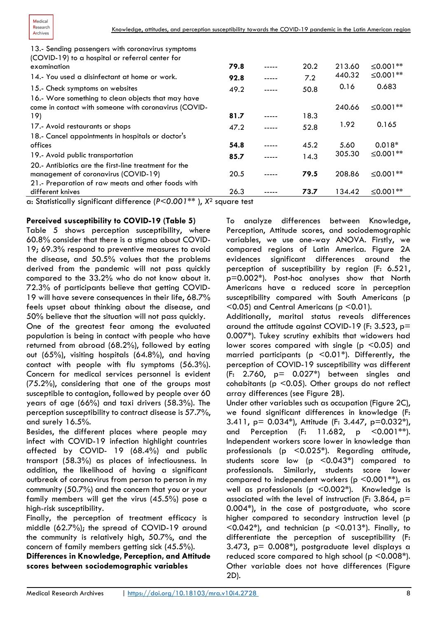

| 13.- Sending passengers with coronavirus symptoms<br>(COVID-19) to a hospital or referral center for                                                                                                                                 |      |       |      |        |                      |
|--------------------------------------------------------------------------------------------------------------------------------------------------------------------------------------------------------------------------------------|------|-------|------|--------|----------------------|
| examination                                                                                                                                                                                                                          | 79.8 | ----- | 20.2 | 213.60 | ≤0.001 <sup>**</sup> |
| 14.- You used a disinfectant at home or work.                                                                                                                                                                                        | 92.8 |       | 7.2  | 440.32 | $≤0.001**$           |
| 15.- Check symptoms on websites                                                                                                                                                                                                      | 49.2 |       | 50.8 | 0.16   | 0.683                |
| 16.- Wore something to clean objects that may have<br>come in contact with someone with coronavirus (COVID-<br>19)                                                                                                                   | 81.7 |       | 18.3 | 240.66 | $≤0.001**$           |
| 17.- Avoid restaurants or shops                                                                                                                                                                                                      | 47.2 |       | 52.8 | 1.92   | 0.165                |
| 18.- Cancel appointments in hospitals or doctor's                                                                                                                                                                                    |      |       |      |        |                      |
| offices                                                                                                                                                                                                                              | 54.8 |       | 45.2 | 5.60   | $0.018*$             |
| 19.- Avoid public transportation                                                                                                                                                                                                     | 85.7 |       | 14.3 | 305.30 | $≤0.001**$           |
| 20.- Antibiotics are the first-line treatment for the                                                                                                                                                                                |      |       |      |        |                      |
| management of coronavirus (COVID-19)                                                                                                                                                                                                 | 20.5 |       | 79.5 | 208.86 | $\leq 0.001**$       |
| 21.- Preparation of raw meats and other foods with                                                                                                                                                                                   |      |       |      |        |                      |
| different knives                                                                                                                                                                                                                     | 26.3 |       | 73.7 | 134.42 | $≤0.001**$           |
| $\sigma_{\rm{1}}$ is a second of the second of the second second second second second second second second second second second second second second second second second second second second second second second second second se |      |       |      |        |                      |

a: Statistically significant difference (*P<0.001\*\** ), *X*<sup>2</sup> square test

#### **Perceived susceptibility to COVID-19 (Table 5)**

Table 5 shows perception susceptibility, where 60.8% consider that there is a stigma about COVID-19; 69.3% respond to preventive measures to avoid the disease, and 50.5% values that the problems derived from the pandemic will not pass quickly compared to the 33.2% who do not know about it. 72.3% of participants believe that getting COVID-19 will have severe consequences in their life, 68.7% feels upset about thinking about the disease, and 50% believe that the situation will not pass quickly.

One of the greatest fear among the evaluated population is being in contact with people who have returned from abroad (68.2%), followed by eating out (65%), visiting hospitals (64.8%), and having contact with people with flu symptoms (56.3%). Concern for medical services personnel is evident (75.2%), considering that one of the groups most susceptible to contagion, followed by people over 60 years of age (66%) and taxi drivers (58.3%). The perception susceptibility to contract disease is 57.7%, and surely 16.5%.

Besides, the different places where people may infect with COVID-19 infection highlight countries affected by COVID- 19 (68.4%) and public transport (58.3%) as places of infectiousness. In addition, the likelihood of having a significant outbreak of coronavirus from person to person in my community (50.7%) and the concern that you or your family members will get the virus (45.5%) pose a high-risk susceptibility.

Finally, the perception of treatment efficacy is middle (62.7%); the spread of COVID-19 around the community is relatively high, 50.7%, and the concern of family members getting sick (45.5%).

**Differences in Knowledge, Perception, and Attitude scores between sociodemographic variables** 

To analyze differences between Knowledge, Perception, Attitude scores, and sociodemographic variables, we use one-way ANOVA. Firstly, we compared regions of Latin America. Figure 2A evidences significant differences around the perception of susceptibility by region (F: 6.521, p=0.002\*). Post-hoc analyses show that North Americans have a reduced score in perception susceptibility compared with South Americans (p  $(0.05)$  and Central Americans (p $(0.01)$ .

Additionally, marital status reveals differences around the attitude against COVID-19 (F: 3.523, p= 0.007\*). Tukey scrutiny exhibits that widowers had lower scores compared with single ( $p \le 0.05$ ) and married participants ( $p \le 0.01$ <sup>\*</sup>). Differently, the perception of COVID-19 susceptibility was different  $(F: 2.760, p= 0.027*)$  between singles and cohabitants ( $p$  <0.05). Other groups do not reflect array differences (see Figure 2B).

Under other variables such as occupation (Figure 2C), we found significant differences in knowledge (F: 3.411, p= 0.034\*), Attitude (F: 3.447, p=0.032\*), and Perception (F: 11.682, p <0.001\*\*). Independent workers score lower in knowledge than professionals (p <0.025\*). Regarding attitude, students score low (p <0.043\*) compared to professionals. Similarly, students score lower compared to independent workers ( $p$  <0.001\*\*), as well as professionals (p  $\leq$  0.002\*). Knowledge is associated with the level of instruction (F: 3.864,  $p=$ 0.004\*), in the case of postgraduate, who score higher compared to secondary instruction level (p  $\leq$ 0.042\*), and technician (p  $\leq$ 0.013\*). Finally, to differentiate the perception of susceptibility (F: 3.473,  $p = 0.008$ <sup>\*</sup>), postgraduate level displays a reduced score compared to high school ( $p \le 0.008^*$ ). Other variable does not have differences (Figure 2D).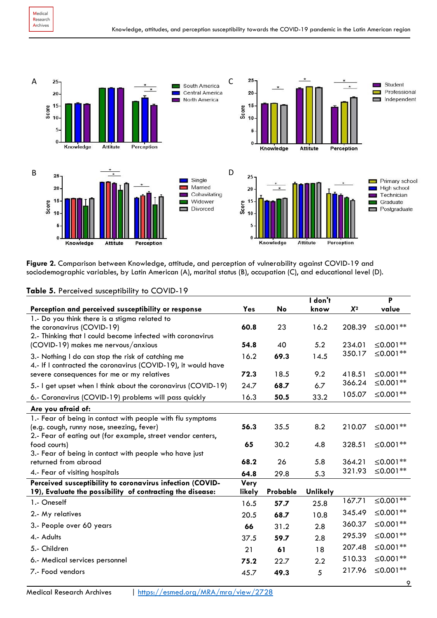

**Figure 2.** Comparison between Knowledge, attitude, and perception of vulnerability against COVID-19 and sociodemographic variables, by Latin American (A), marital status (B), occupation (C), and educational level (D).

|                                                                                                                                                                        |                |          | I don't         |        | P                    |
|------------------------------------------------------------------------------------------------------------------------------------------------------------------------|----------------|----------|-----------------|--------|----------------------|
| Perception and perceived susceptibility or response                                                                                                                    | Yes            | No       | know            | $X^2$  | value                |
| 1.- Do you think there is a stigma related to<br>the coronavirus (COVID-19)<br>2.- Thinking that I could become infected with coronavirus                              | 60.8           | 23       | 16.2            | 208.39 | ≤0.001 <sup>**</sup> |
| (COVID-19) makes me nervous/anxious                                                                                                                                    | 54.8           | 40       | 5.2             | 234.01 | ≤0.001 <sup>**</sup> |
| 3.- Nothing I do can stop the risk of catching me<br>4.- If I contracted the coronavirus (COVID-19), it would have                                                     | 16.2           | 69.3     | 14.5            | 350.17 | ≤0.001 <sup>**</sup> |
| severe consequences for me or my relatives                                                                                                                             | 72.3           | 18.5     | 9.2             | 418.51 | ≤0.001 <sup>**</sup> |
| 5.- I get upset when I think about the coronavirus (COVID-19)                                                                                                          | 24.7           | 68.7     | 6.7             | 366.24 | ≤0.001 <sup>**</sup> |
| 6.- Coronavirus (COVID-19) problems will pass quickly                                                                                                                  | 16.3           | 50.5     | 33.2            | 105.07 | $\leq 0.001**$       |
| Are you afraid of:                                                                                                                                                     |                |          |                 |        |                      |
| 1.- Fear of being in contact with people with flu symptoms<br>(e.g. cough, runny nose, sneezing, fever)<br>2.- Fear of eating out (for example, street vendor centers, | 56.3           | 35.5     | 8.2             | 210.07 | ≤0.001 <sup>**</sup> |
| food courts)                                                                                                                                                           | 65             | 30.2     | 4.8             | 328.51 | ≤0.001 <sup>**</sup> |
| 3.- Fear of being in contact with people who have just<br>returned from abroad                                                                                         | 68.2           | 26       | 5.8             | 364.21 | ≤0.001 <sup>**</sup> |
| 4.- Fear of visiting hospitals                                                                                                                                         | 64.8           | 29.8     | 5.3             | 321.93 | ≤0.001 <sup>**</sup> |
| Perceived susceptibility to coronavirus infection (COVID-<br>19), Evaluate the possibility of contracting the disease:                                                 | Very<br>likely | Probable | <b>Unlikely</b> |        |                      |
| 1.- Oneself                                                                                                                                                            | 16.5           | 57.7     | 25.8            | 167.71 | ≤0.001 <sup>**</sup> |
| 2.- My relatives                                                                                                                                                       | 20.5           | 68.7     | 10.8            | 345.49 | ≤0.001 <sup>**</sup> |
| 3.- People over 60 years                                                                                                                                               | 66             | 31.2     | 2.8             | 360.37 | ≤0.001 <sup>**</sup> |
| 4.- Adults                                                                                                                                                             | 37.5           | 59.7     | 2.8             | 295.39 | ≤0.001 <sup>**</sup> |
| 5.- Children                                                                                                                                                           | 21             | 61       | 18              | 207.48 | ≤0.001 <sup>**</sup> |
| 6.- Medical services personnel                                                                                                                                         | 75.2           | 22.7     | 2.2             | 510.33 | ≤0.001 <sup>**</sup> |
| 7.- Food vendors                                                                                                                                                       | 45.7           | 49.3     | 5               | 217.96 | ≤0.001 <sup>**</sup> |

#### **Table 5.** Perceived susceptibility to COVID-19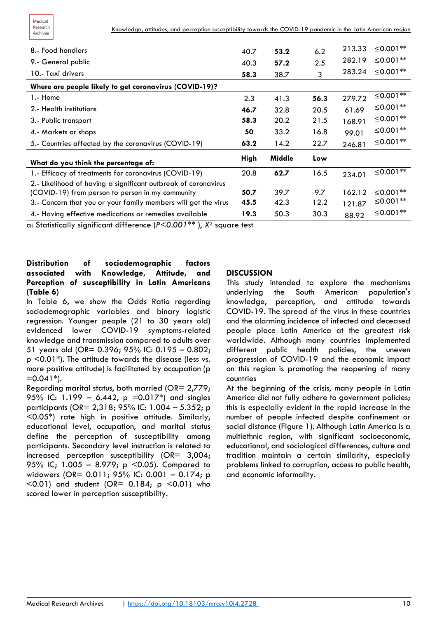

| 8.- Food handlers                                              | 40.7 | 53.2   | 6.2  | 213.33 | ≤0.001 <sup>**</sup> |
|----------------------------------------------------------------|------|--------|------|--------|----------------------|
| 9.- General public                                             | 40.3 | 57.2   | 2.5  | 282.19 | ≤0.001 <sup>**</sup> |
| 10.- Taxi drivers                                              | 58.3 | 38.7   | 3    | 283.24 | $\leq 0.001**$       |
| Where are people likely to get coronavirus (COVID-19)?         |      |        |      |        |                      |
| 1.- Home                                                       | 2.3  | 41.3   | 56.3 | 279.72 | $\leq 0.001**$       |
| 2.- Health institutions                                        | 46.7 | 32.8   | 20.5 | 61.69  | $\leq 0.001**$       |
| 3.- Public transport                                           | 58.3 | 20.2   | 21.5 | 168.91 | $\leq 0.001**$       |
| 4.- Markets or shops                                           | 50   | 33.2   | 16.8 | 99.01  | $\leq 0.001**$       |
| 5.- Countries affected by the coronavirus (COVID-19)           | 63.2 | 14.2   | 22.7 | 246.81 | ≤0.001 <sup>**</sup> |
| What do you think the percentage of:                           | High | Middle | Low  |        |                      |
| 1.- Efficacy of treatments for coronavirus (COVID-19)          | 20.8 | 62.7   | 16.5 | 234.01 | $\leq 0.001**$       |
| 2.- Likelihood of having a significant outbreak of coronavirus |      |        |      |        |                      |
| (COVID-19) from person to person in my community               | 50.7 | 39.7   | 9.7  | 162.12 | $≤0.001**$           |
| 3.- Concern that you or your family members will get the virus | 45.5 | 42.3   | 12.2 | 121.87 | ≤0.001 <sup>**</sup> |
| 4.- Having effective medications or remedies available         | 19.3 | 50.3   | 30.3 | 88.92  | ≤0.001 <sup>**</sup> |

a: Statistically significant difference (*P<0.001\*\** ), *X*<sup>2</sup> square test

#### **Distribution of sociodemographic factors associated with Knowledge, Attitude, and Perception of susceptibility in Latin Americans (Table 6)**

In Table 6, we show the Odds Ratio regarding sociodemographic variables and binary logistic regression. Younger people (21 to 30 years old) evidenced lower COVID-19 symptoms-related knowledge and transmission compared to adults over 51 years old (OR= 0.396; 95% IC: 0.195 – 0.802; p <0.01\*). The attitude towards the disease (less vs. more positive attitude) is facilitated by occupation (p  $=0.041*$ ).

Regarding marital status, both married (OR= 2,779; 95% IC: 1.199 – 6.442,  $p = 0.017$ <sup>\*</sup>) and singles participants (OR= 2,318; 95% IC: 1.004 – 5.352; p <0.05\*) rate high in positive attitude. Similarly, educational level, occupation, and marital status define the perception of susceptibility among participants. Secondary level instruction is related to increased perception susceptibility (OR= 3,004; 95% IC; 1.005 - 8.979; p <0.05). Compared to widowers (OR= 0.011; 95% IC: 0.001 – 0.174; p  $(0.01)$  and student (OR= 0.184; p  $(0.01)$  who scored lower in perception susceptibility.

#### **DISCUSSION**

This study intended to explore the mechanisms underlying the South American population's knowledge, perception, and attitude towards COVID-19. The spread of the virus in these countries and the alarming incidence of infected and deceased people place Latin America at the greatest risk worldwide. Although many countries implemented different public health policies, the uneven progression of COVID-19 and the economic impact on this region is promoting the reopening of many countries

At the beginning of the crisis, many people in Latin America did not fully adhere to government policies; this is especially evident in the rapid increase in the number of people infected despite confinement or social distance (Figure 1). Although Latin America is a multiethnic region, with significant socioeconomic, educational, and sociological differences, culture and tradition maintain a certain similarity, especially problems linked to corruption, access to public health, and economic informality.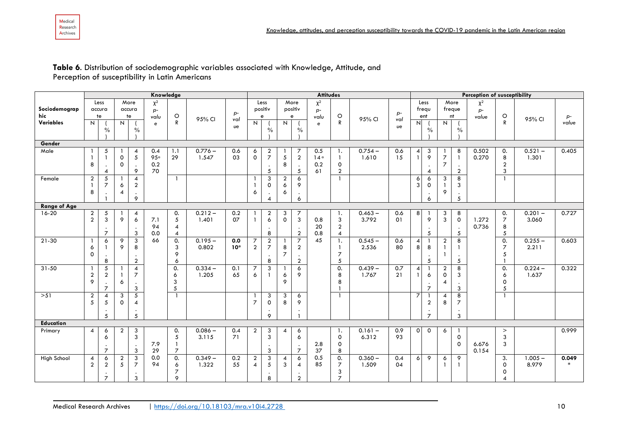#### **Table 6**. Distribution of sociodemographic variables associated with Knowledge, Attitude, and Perception of susceptibility in Latin Americans

|                      |                     | Knowledge                             |                     |                                                           |                          |                                                    |                    |              | <b>Attitudes</b>                 |                                                |                          |                                                    |                          |                                                      |                    | <b>Perception of susceptibility</b> |                                |                                                               |                                                 |                                                             |                           |                                |                    |                 |
|----------------------|---------------------|---------------------------------------|---------------------|-----------------------------------------------------------|--------------------------|----------------------------------------------------|--------------------|--------------|----------------------------------|------------------------------------------------|--------------------------|----------------------------------------------------|--------------------------|------------------------------------------------------|--------------------|-------------------------------------|--------------------------------|---------------------------------------------------------------|-------------------------------------------------|-------------------------------------------------------------|---------------------------|--------------------------------|--------------------|-----------------|
| Sociodemograp<br>hic |                     | Less<br>accura<br>te                  |                     | More<br>accura<br>te                                      | $\chi^2$<br>$p-$<br>valu | $\circ$                                            | 95% CI             | $p-$<br>val  |                                  | Less<br>positiv<br>e                           |                          | More<br>positiv<br>e                               | $\chi^2$<br>$p-$<br>valu | $\circ$                                              | 95% CI             | $p-$<br>val                         |                                | Less<br>frequ<br>ent                                          | freque                                          | More<br>nt                                                  | $\chi^2$<br>$p-$<br>value | $\circ$                        | 95% CI             | $p-$            |
| Variables            | N                   | $\%$                                  | N                   | $\%$                                                      | e                        | R                                                  |                    | υe           | N                                | $\frac{0}{0}$                                  | N                        | $\%$                                               | e                        | ${\sf R}$                                            |                    | ve                                  | N                              | $\frac{0}{0}$                                                 | N                                               | $\%$                                                        |                           | ${\sf R}$                      |                    | value           |
| Gender               |                     |                                       |                     |                                                           |                          |                                                    |                    |              |                                  |                                                |                          |                                                    |                          |                                                      |                    |                                     |                                |                                                               |                                                 |                                                             |                           |                                |                    |                 |
| Male                 | 8                   | 5<br>$\boldsymbol{\Delta}$            | 0<br>0              | $\overline{4}$<br>$5\overline{5}$<br>9                    | 0.4<br>95°<br>0.2<br>70  | 1.1<br>29                                          | $0.776 -$<br>1.547 | 0.6<br>03    | 6<br>$\mathsf{o}$                | $\overline{a}$<br>$\overline{7}$<br>$\sqrt{5}$ | $\mathfrak{s}$<br>8      | 7<br>$\overline{2}$<br>5                           | 0.5<br>14°<br>0.2<br>61  | -1.<br>$\mathbf{1}$<br>$\mathbf 0$<br>$\overline{2}$ | $0.754 -$<br>1.610 | 0.6<br>15                           | $\overline{4}$<br>$\mathbf{1}$ | 3<br>$\boldsymbol{\mathsf{9}}$<br>$\bullet$<br>$\overline{4}$ | $\overline{7}$<br>$\overline{7}$                | 8<br>$\mathbf{1}$<br>$\cdot$<br>$\overline{a}$              | 0.502<br>0.270            | 0.<br>8<br>$\overline{2}$<br>3 | $0.521 -$<br>1.301 | 0.405           |
| Female               | $\overline{2}$<br>8 | 5<br>$\overline{z}$                   | 6<br>$\overline{4}$ | 4<br>$\overline{2}$<br>9                                  |                          |                                                    |                    |              | 6                                | 3<br>$\mathsf{o}$<br>4                         | $\overline{a}$<br>6<br>6 | 6<br>9<br>6                                        |                          |                                                      |                    |                                     | 6<br>3                         | 6<br>$\mathsf{O}$<br>$\cdot$<br>6                             | 3<br>$\overline{1}$<br>9                        | 8<br>3<br>5                                                 |                           | $\mathbf{1}$                   |                    |                 |
| <b>Range of Age</b>  |                     |                                       |                     |                                                           |                          |                                                    |                    |              |                                  |                                                |                          |                                                    |                          |                                                      |                    |                                     |                                |                                                               |                                                 |                                                             |                           |                                |                    |                 |
| $16-20$              | $\frac{2}{2}$       | 5<br>3<br>$\overline{7}$              | 9                   | 4<br>6<br>3                                               | 7.1<br>94<br>0.0         | 0.<br>5<br>$\overline{4}$<br>4                     | $0.212 -$<br>1.401 | 0.2<br>07    |                                  | $\overline{2}$<br>6<br>8                       | 3<br>$\mathbf{0}$        | 7<br>$\mathfrak{Z}$<br>$\overline{a}$              | 0.8<br>20<br>0.8         | -1.<br>3<br>$\boldsymbol{2}$<br>$\overline{4}$       | $0.463 -$<br>3.792 | 0.6<br>O <sub>1</sub>               | 8                              | 9<br>$\cdot$<br>5                                             | 3<br>3                                          | 8<br>$\mathbf 0$<br>$\cdot$<br>$\mathfrak{s}$               | 1.272<br>0.736            | 0.<br>$\overline{7}$<br>8<br>5 | $0.201 -$<br>3.060 | 0.727           |
| $21 - 30$            | 6<br>$\mathbf 0$    | 6<br>8                                | 9<br>9              | 3<br>8<br>$\overline{2}$                                  | 66                       | 0.<br>3<br>9<br>6                                  | $0.195 -$<br>0.802 | 0.0<br>$10*$ | 7<br>$\overline{2}$              | $\overline{2}$<br>$\overline{7}$<br>8          | 8<br>$\overline{7}$      | $\overline{7}$<br>$\overline{2}$<br>$\overline{2}$ | 45                       | 1.<br>$\mathbf{1}$<br>$\overline{7}$<br>5            | $0.545 -$<br>2.536 | 0.6<br>80                           | 4<br>8                         | 8<br>$\cdot$<br>$\overline{5}$                                | $\overline{2}$                                  | 8<br>$\mathbf{1}$<br>$5\overline{5}$                        |                           | 0.<br>$\overline{7}$<br>5<br>ı | $0.255 -$<br>2.211 | 0.603           |
| $31 - 50$            | $\overline{2}$<br>9 | 5<br>$\overline{2}$<br>$\overline{7}$ | 6                   | $\overline{4}$<br>$\overline{7}$<br>$\mathbf{3}$          |                          | 0.<br>6<br>3<br>5                                  | $0.334 -$<br>1.205 | 0.1<br>65    | $\overline{7}$<br>6              | 3                                              | 6<br>9                   | 6<br>9                                             |                          | 0.<br>8<br>8                                         | $0.439 -$<br>1.767 | 0.7<br>21                           | 4                              | 6<br>$\cdot$<br>$\overline{7}$                                | $\overline{2}$<br>$\mathbf 0$<br>$\overline{4}$ | 8<br>3<br>$\mathfrak{Z}$                                    |                           | 0.<br>6<br>0<br>5              | $0.224 -$<br>1.637 | 0.322           |
| >51                  | $\overline{2}$<br>5 | $\overline{4}$<br>5<br>5              | 3<br>$\mathbf 0$    | $\overline{5}$<br>$\boldsymbol{\Delta}$<br>$\mathfrak{s}$ |                          |                                                    |                    |              | $\overline{7}$                   | 3<br>$\mathbf 0$<br>9                          | 3<br>8                   | 6<br>9                                             |                          |                                                      |                    |                                     | $\overline{7}$                 | $\boldsymbol{2}$<br>$\cdot$<br>$\overline{7}$                 | $\overline{\mathcal{A}}$<br>8                   | $\overline{8}$<br>$\overline{7}$<br>$\bullet$<br>$\sqrt{3}$ |                           | $\overline{1}$                 |                    |                 |
| Education            |                     |                                       |                     |                                                           |                          |                                                    |                    |              |                                  |                                                |                          |                                                    |                          |                                                      |                    |                                     |                                |                                                               |                                                 |                                                             |                           |                                |                    |                 |
| Primary              | $\overline{4}$      | 6<br>6<br>$\overline{7}$              | $\overline{2}$      | 3<br>$\mathfrak{Z}$<br>3                                  | 7.9<br>29                | 0.<br>$\sqrt{5}$<br>$\mathbf{1}$<br>$\overline{7}$ | $0.086 -$<br>3.115 | 0.4<br>71    | $\overline{2}$                   | 3<br>3<br>$\cdot$<br>3                         | $\overline{4}$           | 6<br>6<br>$\overline{7}$                           | 2.8<br>37                | -1.<br>$\mathsf{o}$<br>0<br>8                        | $0.161 -$<br>6.312 | 0.9<br>93                           | $\circ$                        | $\mathbf 0$                                                   | 6                                               | $\mathsf{o}$<br>$\mathbf 0$                                 | 6.676<br>0.154            | $\, >$<br>3<br>3               |                    | 0.999           |
| High School          | 4<br>$\overline{2}$ | 6<br>$\overline{2}$<br>$\overline{7}$ | $\overline{2}$<br>5 | 3<br>$\overline{7}$<br>3                                  | 0.0<br>94                | 0.<br>6<br>$\overline{7}$<br>9                     | $0.349 -$<br>1.322 | 0.2<br>55    | $\overline{2}$<br>$\overline{4}$ | 3<br>5<br>8                                    | $\overline{4}$<br>3      | 6<br>4<br>$\overline{2}$                           | 0.5<br>85                | 0.<br>$\overline{7}$<br>3<br>$\overline{7}$          | $0.360 -$<br>1.509 | 0.4<br>04                           | 6                              | 9                                                             | 6                                               | 9<br>$\mathbf{1}$                                           |                           | 3.<br>0<br>0<br>$\overline{4}$ | $1.005 -$<br>8.979 | 0.049<br>$\ast$ |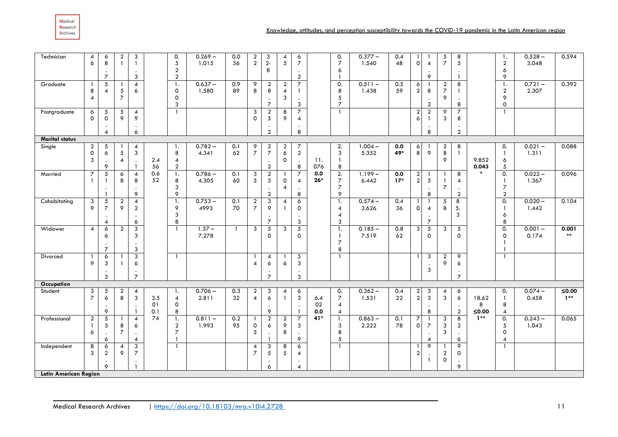Medical Research Archives

| Technician<br>Graduate       | 4<br>6              | 6<br>8<br>$\overline{7}$<br>$\sqrt{5}$ | $\overline{\mathbf{c}}$<br>$\mathbf{1}$ | 3<br>$\mathbf{1}$<br>3<br>$\overline{4}$ |     | 0.<br>5<br>$\boldsymbol{2}$<br>$\overline{2}$<br>-1. | $0.269 -$<br>1.015<br>$0.637 -$ | 0.0<br>56<br>0.9 | $\overline{2}$<br>$\overline{2}$<br>$\overline{9}$ | 3<br>$2-$<br>8<br>$\boldsymbol{2}$      | $\boldsymbol{4}$<br>5<br>$\overline{2}$ | 6<br>$\overline{7}$<br>$\overline{2}$<br>$\overline{7}$ |       | 0.<br>$\overline{7}$<br>6<br>0.  | $0.377 -$<br>1.540<br>$0.511 -$ | 0.4<br>48<br>0.5 | $\overline{1}$<br>$\circ$<br>6 | $\overline{4}$<br>9                                | $\sqrt{5}$<br>$\overline{7}$<br>$\overline{a}$ | 8<br>5<br>$\mathbf{1}$<br>8      |          | $\mathbf{1}$ .<br>$\overline{a}$<br>6<br>9<br>1. | $0.528 -$<br>3.048<br>$0.721 -$ | 0.594<br>0.392      |
|------------------------------|---------------------|----------------------------------------|-----------------------------------------|------------------------------------------|-----|------------------------------------------------------|---------------------------------|------------------|----------------------------------------------------|-----------------------------------------|-----------------------------------------|---------------------------------------------------------|-------|----------------------------------|---------------------------------|------------------|--------------------------------|----------------------------------------------------|------------------------------------------------|----------------------------------|----------|--------------------------------------------------|---------------------------------|---------------------|
|                              | 8<br>$\overline{4}$ | 4                                      | 5<br>$\overline{\mathbf{z}}$            | 6                                        |     | 0<br>0<br>3                                          | 1.580                           | 89               | 8                                                  | 8<br>$\overline{7}$                     | 4<br>3                                  | $\mathbf{1}$<br>3                                       |       | 8<br>5<br>$\overline{7}$         | 1.438                           | 59               | $\boldsymbol{2}$               | 8<br>$\cdot$<br>$\overline{2}$                     | $\boldsymbol{7}$<br>9                          | 8                                |          | $\boldsymbol{2}$<br>9<br>0                       | 2.307                           |                     |
| Postgraduate                 | 6<br>$\Omega$       | 5<br>$\mathbf 0$                       | 5<br>9                                  | $\overline{4}$<br>9                      |     | $\overline{1}$                                       |                                 |                  | 3<br>$\Omega$                                      | $\boldsymbol{2}$<br>5<br>$\overline{2}$ | 8<br>9                                  | $\overline{7}$<br>$\overline{4}$<br>8                   |       |                                  |                                 |                  | $\overline{a}$<br>6            | $\overline{2}$<br>$\overline{1}$<br>$\bullet$<br>8 | 9<br>$\mathbf{3}$                              | $\overline{7}$<br>8<br>$\bullet$ |          | $\mathbf{1}$                                     |                                 |                     |
| <b>Marital status</b>        |                     | $\overline{4}$                         |                                         | 6                                        |     |                                                      |                                 |                  |                                                    |                                         |                                         |                                                         |       |                                  |                                 |                  |                                |                                                    |                                                | $\overline{a}$                   |          |                                                  |                                 |                     |
| Single                       | $\overline{a}$      | 5                                      | -1                                      | 4                                        |     | -1.                                                  | $0.782 -$                       | 0.1              | 9                                                  | $\overline{2}$                          | $\overline{a}$                          | 7                                                       |       | 2.                               | $1.004 -$                       | 0.0              | $\epsilon$                     | -1                                                 | $\overline{a}$                                 | 8                                |          | 0.                                               | $0.021 -$                       | 0.088               |
|                              | 0                   | 6                                      | $\sqrt{5}$                              | 3                                        |     | 8                                                    | 4.341                           | 62               | $\overline{\mathbf{7}}$                            | $\boldsymbol{7}$                        | $\pmb{\delta}$                          | $\overline{a}$                                          |       | 3                                | 5.352                           | 49*              | 8                              | 9                                                  | $\bf 8$                                        | $\mathbf{1}$                     |          | $\mathbf{1}$                                     | 1.311                           |                     |
|                              | 3                   |                                        | 4                                       |                                          | 2.4 | $\overline{4}$                                       |                                 |                  |                                                    |                                         | 0                                       |                                                         | 11.   |                                  |                                 |                  |                                |                                                    | 9                                              |                                  | 9.852    | 6                                                |                                 |                     |
|                              |                     | 9                                      |                                         |                                          | 56  | $\overline{2}$                                       |                                 |                  |                                                    | $\mathbf 2$                             |                                         | 8                                                       | 076   | 8                                |                                 |                  |                                |                                                    |                                                |                                  | 0.043    | 5                                                |                                 |                     |
| Married                      | 7                   | 5                                      | 6                                       | 4                                        | 0.6 | 1.                                                   | $0.786 -$                       | 0.1              | 3                                                  | $\overline{2}$                          |                                         | $\overline{z}$                                          | 0.0   | $\overline{2}$ .                 | $1.199 -$                       | 0.0              | $\overline{2}$                 |                                                    |                                                | 8                                |          | $\overline{0}$ .                                 | $0.022 -$                       | 0.096               |
|                              |                     | $\mathbf{1}$                           | 8                                       | 8                                        | 52  | 8<br>3                                               | 4.305                           | 60               | 5                                                  | $\sqrt{5}$                              | $\mathsf{o}$<br>$\overline{4}$          | $\overline{4}$                                          | $26*$ | $\overline{7}$<br>$\overline{7}$ | 6.442                           | $17*$            | $\overline{2}$                 | $\sqrt{5}$                                         | $\mathbf{1}$<br>$\overline{7}$                 | 4                                |          | $\mathbf{1}$<br>$\overline{7}$                   | 1.367                           |                     |
|                              |                     |                                        |                                         | 9                                        |     | 9                                                    |                                 |                  |                                                    | $\overline{a}$                          |                                         | 8                                                       |       | 9                                |                                 |                  |                                | 8                                                  |                                                | $\overline{2}$                   |          | $\overline{\mathbf{c}}$                          |                                 |                     |
| Cohabitating                 | 3                   |                                        | $\overline{\mathbf{c}}$                 | $\overline{\mathbf{4}}$                  |     | $\mathbf{1}$ .                                       | $0.753 -$                       | 0.1              |                                                    | $\ensuremath{\mathsf{3}}$               | $\boldsymbol{4}$                        | $\pmb{6}$                                               |       | 1.                               | $0.574 -$                       | 0.4              |                                |                                                    | $\sqrt{5}$                                     | 8                                |          | $\overline{0}$ .                                 | $0.020 -$                       | 0.104               |
|                              | 9                   | $\frac{5}{7}$                          | 9                                       | $\overline{a}$                           |     | 9                                                    | 4993                            | 70               | $\frac{2}{7}$                                      | 9                                       | $\mathbf{1}$                            | 0                                                       |       | $\overline{4}$                   | 3.626                           | 36               | $\circ$                        | $\overline{4}$                                     | 8                                              | 5.                               |          | $\mathbf{1}$                                     | 1.442                           |                     |
|                              |                     |                                        |                                         |                                          |     | 3                                                    |                                 |                  |                                                    |                                         |                                         |                                                         |       | $\overline{4}$                   |                                 |                  |                                | $\bullet$                                          |                                                | 3                                |          | 6                                                |                                 |                     |
|                              |                     | $\overline{4}$                         |                                         | 6                                        |     | 8                                                    |                                 |                  |                                                    | $\overline{7}$                          |                                         | $\mathbf{3}$                                            |       | 3                                |                                 |                  |                                | $\overline{7}$                                     |                                                |                                  |          | 8                                                |                                 |                     |
| Widower                      | $\overline{4}$      | 6                                      | $\overline{2}$                          | 3<br>3                                   |     | $\overline{1}$                                       | $1.37 -$<br>7.278               | $\mathbf{1}$     | 3                                                  | 5<br>$\mathbf 0$                        | 3                                       | $\overline{5}$<br>0                                     |       | 1.<br>$\mathbf{1}$               | $0.185 -$<br>7.519              | 0.8<br>62        | $\overline{3}$                 | $\sqrt{5}$<br>0                                    | 3                                              | $\sqrt{5}$<br>$\mathbf 0$        |          | 0.<br>0                                          | $0.001 -$<br>0.174              | 0.001<br>$\ast\ast$ |
|                              |                     | 6                                      |                                         |                                          |     |                                                      |                                 |                  |                                                    |                                         |                                         |                                                         |       | $\overline{7}$                   |                                 |                  |                                |                                                    |                                                |                                  |          | $\mathbf{1}$                                     |                                 |                     |
|                              |                     | $\overline{7}$                         |                                         | 3                                        |     |                                                      |                                 |                  |                                                    |                                         |                                         |                                                         |       | 8                                |                                 |                  |                                |                                                    |                                                |                                  |          |                                                  |                                 |                     |
| Divorced                     |                     | 6                                      |                                         | $\overline{3}$                           |     | $\overline{1}$                                       |                                 |                  |                                                    | 4                                       |                                         | $\overline{5}$                                          |       |                                  |                                 |                  |                                | $\sqrt{3}$                                         | $\overline{2}$                                 | 9                                |          | $\overline{1}$                                   |                                 |                     |
|                              | 9                   | 3                                      | $\mathbf{1}$                            | 6                                        |     |                                                      |                                 |                  | $\overline{\mathcal{A}}$                           | 6                                       | 6                                       | 3                                                       |       |                                  |                                 |                  |                                |                                                    | 9                                              | 6                                |          |                                                  |                                 |                     |
|                              |                     |                                        |                                         | $\bullet$                                |     |                                                      |                                 |                  |                                                    |                                         |                                         | $\bullet$                                               |       |                                  |                                 |                  |                                | 3                                                  |                                                | $\bullet$                        |          |                                                  |                                 |                     |
|                              |                     | 3                                      |                                         | $\overline{7}$                           |     |                                                      |                                 |                  |                                                    | $\overline{7}$                          |                                         | 3                                                       |       |                                  |                                 |                  |                                |                                                    |                                                | $\overline{7}$                   |          |                                                  |                                 |                     |
| <b>Occupation</b><br>Student | 3                   | $\mathbf{5}$                           | $\overline{2}$                          | 4                                        |     | -1.                                                  | $0.706 -$                       | 0.3              | $\overline{a}$                                     | 3                                       | 4                                       | 6                                                       |       | 0.                               | $0.362 -$                       | 0.4              |                                | 3                                                  | 4                                              | 6                                |          | 0.                                               | $0.074 -$                       | $≤0.00$             |
|                              | $\overline{7}$      | 6                                      | 8                                       | 3                                        | 3.5 | 4                                                    | 2.811                           | 32               | $\overline{4}$                                     | 6                                       | $\mathbf{1}$                            | 3                                                       | 6.4   | 7                                | 1.531                           | 22               | $\frac{2}{2}$                  | 3                                                  | 3                                              | 6                                | 18.62    | $\mathbf{1}$                                     | 0.458                           | $1**$               |
|                              |                     |                                        |                                         |                                          | 01  | $\mathbf 0$                                          |                                 |                  |                                                    |                                         |                                         |                                                         | 02    | $\overline{4}$                   |                                 |                  |                                |                                                    |                                                |                                  | 8        | 8                                                |                                 |                     |
|                              |                     | 9                                      |                                         |                                          | 0.1 | 8                                                    |                                 |                  |                                                    | 9                                       |                                         | $\mathbf{1}$                                            | 0.0   | $\overline{4}$                   |                                 |                  |                                | 8                                                  |                                                | $\overline{2}$                   | $≤$ 0.00 | $\overline{\mathbf{4}}$                          |                                 |                     |
| Professional                 | $\overline{2}$      | $\sqrt{5}$                             |                                         | 4                                        | 74  | $\mathbf{1}$ .                                       | $0.811 -$                       | 0.2              |                                                    | $\overline{2}$                          | $\overline{a}$                          | $\overline{\phantom{a}}$                                | $41*$ | $\mathbf{1}$ .                   | $0.863 -$                       | 0.1              | 7                              |                                                    | 3                                              | 8                                | $1**$    | 0.                                               | $0.243 -$                       | 0.065               |
|                              |                     | 3                                      | 8                                       | 6                                        |     | $\overline{2}$                                       | 1.993                           | 95               | 0                                                  | 6                                       | 9                                       | 3                                                       |       | 3                                | 2.222                           | 78               | $\circ$                        | $\overline{7}$                                     | 3                                              | $\overline{2}$                   |          | 5                                                | 1.043                           |                     |
|                              | 6                   | 6                                      | $\overline{7}$                          | 4                                        |     | $\overline{7}$                                       |                                 |                  | 5                                                  |                                         | 8                                       | 9                                                       |       | 8<br>5                           |                                 |                  |                                | $\cdot$<br>$\overline{4}$                          | 3                                              | $\pmb{\delta}$                   |          | $\mathsf{o}$<br>4                                |                                 |                     |
| Independent                  | 8                   | 6                                      | 4                                       | 3                                        |     | $\overline{1}$                                       |                                 |                  | 4                                                  | 3                                       | 8                                       | 6                                                       |       | $\mathbf{1}$                     |                                 |                  |                                | 9                                                  |                                                | 9                                |          | $\overline{1}$                                   |                                 |                     |
|                              | 3                   | $\overline{2}$                         | 9                                       | $\overline{7}$                           |     |                                                      |                                 |                  | $\overline{7}$                                     | 5                                       | 5                                       | $\overline{4}$                                          |       |                                  |                                 |                  | $\overline{2}$                 | $\cdot$                                            | $\overline{2}$                                 | 0                                |          |                                                  |                                 |                     |
|                              |                     |                                        |                                         |                                          |     |                                                      |                                 |                  |                                                    |                                         |                                         |                                                         |       |                                  |                                 |                  |                                | -1                                                 | 0                                              | $\bullet$                        |          |                                                  |                                 |                     |
|                              |                     | 9                                      |                                         |                                          |     |                                                      |                                 |                  |                                                    | 6                                       |                                         | $\overline{4}$                                          |       |                                  |                                 |                  |                                |                                                    |                                                | 9                                |          |                                                  |                                 |                     |
| <b>Latin American Region</b> |                     |                                        |                                         |                                          |     |                                                      |                                 |                  |                                                    |                                         |                                         |                                                         |       |                                  |                                 |                  |                                |                                                    |                                                |                                  |          |                                                  |                                 |                     |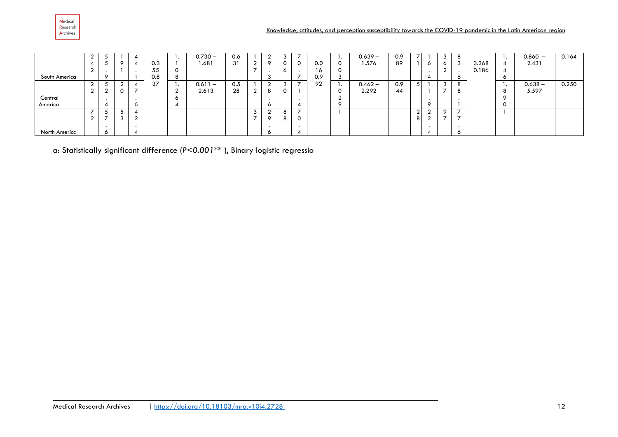

|               |        |             |        |     | . .     | $0.730 -$ | 0.6 |        |              | 3             |                          |     | . .     | $0.639 -$ | 0.9 |        |         | -3             |       |         | $0.860 -$ | 0.164 |
|---------------|--------|-------------|--------|-----|---------|-----------|-----|--------|--------------|---------------|--------------------------|-----|---------|-----------|-----|--------|---------|----------------|-------|---------|-----------|-------|
|               | 4      | $\circ$     |        | 0.3 |         | 1.681     | 31  | $\sim$ |              | 0             | 0                        | 0.0 | 0       | 1.576     | 89  |        | $\circ$ | $\circ$        | 3.368 | 4       | 2.431     |       |
|               |        |             |        | 55  | 0       |           |     |        |              | O             |                          | 10. |         |           |     |        |         | ⌒              | 0.186 | 4       |           |       |
| South America |        |             |        | 0.8 | ົ<br>ō  |           |     |        |              |               |                          | 0.9 |         |           |     |        | A       |                |       | $\circ$ |           |       |
|               | $\sim$ | $\sim$<br>▴ |        | 37  | . .     | $0.611 -$ | 0.5 |        | $\sim$       | 3             |                          | 92  | . .     | $0.462 -$ | 0.9 | е      |         | -3             |       | . .     | $0.638 -$ | 0.250 |
|               | $\sim$ | 0           | -      |     | $\sim$  | 2.613     | 28  | $\sim$ | 8            | 0             |                          |     | U       | 2.292     | 44  |        |         |                |       | 8       | 5.597     |       |
| Central       |        |             |        |     | $\circ$ |           |     |        |              |               |                          |     |         |           |     |        |         |                |       | $\circ$ |           |       |
| America       |        |             | o      |     |         |           |     |        | <sup>o</sup> |               |                          |     | $\circ$ |           |     |        | $\circ$ |                |       | 0       |           |       |
|               |        |             |        |     |         |           |     |        |              | 8             | $\overline{\phantom{a}}$ |     |         |           |     | $\sim$ |         | റ              |       |         |           |       |
|               | $\sim$ | $\sim$      | $\sim$ |     |         |           |     |        | $\Omega$     | $\Omega$<br>o |                          |     |         |           |     | 8      |         | $\overline{ }$ |       |         |           |       |
|               |        |             |        |     |         |           |     |        |              |               |                          |     |         |           |     |        |         |                |       |         |           |       |
| North America |        |             |        |     |         |           |     |        | $\circ$      |               |                          |     |         |           |     |        | £       |                |       |         |           |       |

a: Statistically significant difference (*P<0.001\*\** ), Binary logistic regressio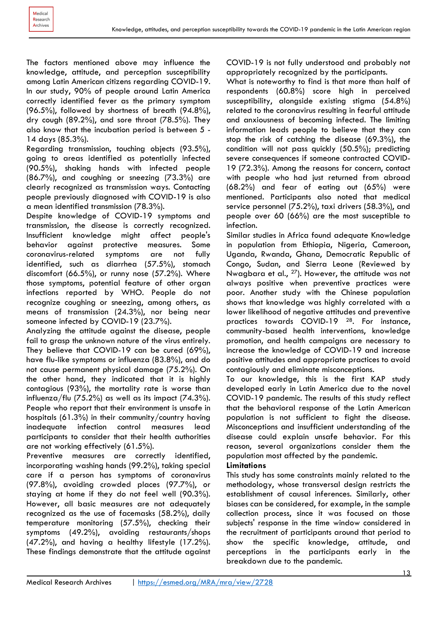The factors mentioned above may influence the knowledge, attitude, and perception susceptibility among Latin American citizens regarding COVID-19. In our study, 90% of people around Latin America correctly identified fever as the primary symptom (96.5%), followed by shortness of breath (94.8%), dry cough (89.2%), and sore throat (78.5%). They also know that the incubation period is between 5 - 14 days (85.3%).

Regarding transmission, touching objects (93.5%), going to areas identified as potentially infected (90.5%), shaking hands with infected people (86.7%), and coughing or sneezing (73.3%) are clearly recognized as transmission ways. Contacting people previously diagnosed with COVID-19 is also a mean identified transmission (78.3%).

Despite knowledge of COVID-19 symptoms and transmission, the disease is correctly recognized. Insufficient knowledge might affect people's behavior against protective measures. Some coronavirus-related symptoms are not fully identified, such as diarrhea (57.5%), stomach discomfort (66.5%), or runny nose (57.2%). Where those symptoms, potential feature of other organ infections reported by WHO. People do not recognize coughing or sneezing, among others, as means of transmission (24.3%), nor being near someone infected by COVID-19 (23.7%).

Analyzing the attitude against the disease, people fail to grasp the unknown nature of the virus entirely. They believe that COVID-19 can be cured (69%), have flu-like symptoms or influenza (83.8%), and do not cause permanent physical damage (75.2%). On the other hand, they indicated that it is highly contagious (93%), the mortality rate is worse than influenza/flu  $(75.2\%)$  as well as its impact  $(74.3\%).$ People who report that their environment is unsafe in hospitals (61.3%) in their community/country having inadequate infection control measures lead participants to consider that their health authorities are not working effectively (61.5%).

Preventive measures are correctly identified, incorporating washing hands (99.2%), taking special care if a person has symptoms of coronavirus (97.8%), avoiding crowded places (97.7%), or staying at home if they do not feel well (90.3%). However, all basic measures are not adequately recognized as the use of facemasks (58.2%), daily temperature monitoring (57.5%), checking their symptoms (49.2%), avoiding restaurants/shops (47.2%), and having a healthy lifestyle (17.2%). These findings demonstrate that the attitude against COVID-19 is not fully understood and probably not appropriately recognized by the participants.

What is noteworthy to find is that more than half of respondents (60.8%) score high in perceived susceptibility, alongside existing stigma (54.8%) related to the coronavirus resulting in fearful attitude and anxiousness of becoming infected. The limiting information leads people to believe that they can stop the risk of catching the disease (69.3%), the condition will not pass quickly (50.5%); predicting severe consequences if someone contracted COVID-19 (72.3%). Among the reasons for concern, contact with people who had just returned from abroad (68.2%) and fear of eating out (65%) were mentioned. Participants also noted that medical service personnel (75.2%), taxi drivers (58.3%), and people over 60 (66%) are the most susceptible to infection.

Similar studies in Africa found adequate Knowledge in population from Ethiopia, Nigeria, Cameroon, Uganda, Rwanda, Ghana, Democratic Republic of Congo, Sudan, and Sierra Leone (Reviewed by Nwagbara et al., 27). However, the attitude was not always positive when preventive practices were poor. Another study with the Chinese population shows that knowledge was highly correlated with a lower likelihood of negative attitudes and preventive practices towards COVID-19 28. For instance, community-based health interventions, knowledge promotion, and health campaigns are necessary to increase the knowledge of COVID-19 and increase positive attitudes and appropriate practices to avoid contagiously and eliminate misconceptions.

To our knowledge, this is the first KAP study developed early in Latin America due to the novel COVID-19 pandemic. The results of this study reflect that the behavioral response of the Latin American population is not sufficient to fight the disease. Misconceptions and insufficient understanding of the disease could explain unsafe behavior. For this reason, several organizations consider them the population most affected by the pandemic.

#### **Limitations**

This study has some constraints mainly related to the methodology, whose transversal design restricts the establishment of causal inferences. Similarly, other biases can be considered, for example, in the sample collection process, since it was focused on those subjects' response in the time window considered in the recruitment of participants around that period to show the specific knowledge, attitude, and perceptions in the participants early in the breakdown due to the pandemic.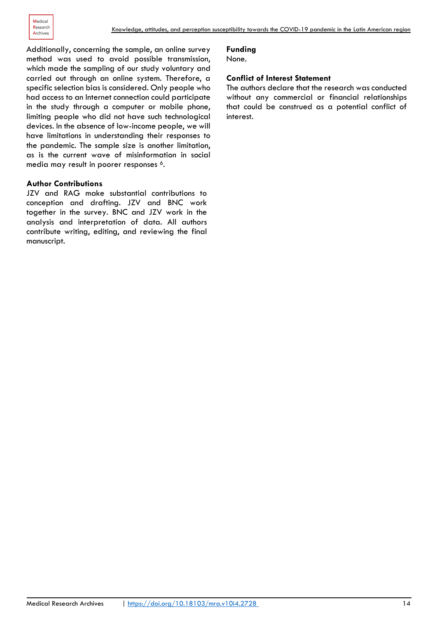Additionally, concerning the sample, an online survey method was used to avoid possible transmission, which made the sampling of our study voluntary and carried out through an online system. Therefore, a specific selection bias is considered. Only people who had access to an Internet connection could participate in the study through a computer or mobile phone, limiting people who did not have such technological devices. In the absence of low-income people, we will have limitations in understanding their responses to the pandemic. The sample size is another limitation, as is the current wave of misinformation in social media may result in poorer responses <sup>6</sup>.

#### **Author Contributions**

JZV and RAG make substantial contributions to conception and drafting. JZV and BNC work together in the survey. BNC and JZV work in the analysis and interpretation of data. All authors contribute writing, editing, and reviewing the final manuscript.

#### **Funding**

None.

#### **Conflict of Interest Statement**

The authors declare that the research was conducted without any commercial or financial relationships that could be construed as a potential conflict of interest.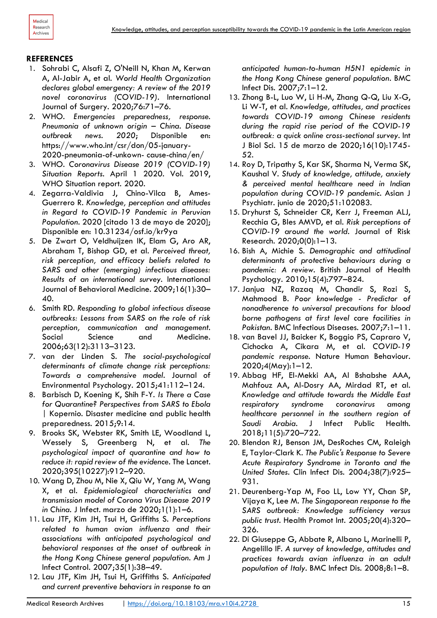

#### **REFERENCES**

- 1. Sohrabi C, Alsafi Z, O'Neill N, Khan M, Kerwan A, Al-Jabir A, et al. *World Health Organization declares global emergency: A review of the 2019 novel coronavirus (COVID-19).* International Journal of Surgery. 2020;76:71–76.
- 2. WHO. *Emergencies preparedness, response. Pneumonia of unknown origin – China. Disease outbreak news. 2020*; Disponible en: https://www.who.int/csr/don/05-january-2020-pneumonia-of-unkown- cause-china/en/
- 3. WHO. *Coronavirus Disease 2019 (COVID-19) Situation Reports*. April 1 2020. Vol. 2019, WHO Situation report. 2020.
- 4. Zegarra-Valdivia J, Chino-Vilca B, Ames-Guerrero R. *Knowledge, perception and attitudes in Regard to COVID-19 Pandemic in Peruvian Population.* 2020 [citado 13 de mayo de 2020]; Disponible en: 10.31234/osf.io/kr9ya
- 5. De Zwart O, Veldhuijzen IK, Elam G, Aro AR, Abraham T, Bishop GD, et al. *Perceived threat, risk perception, and efficacy beliefs related to SARS and other (emerging) infectious diseases: Results of an international survey.* International Journal of Behavioral Medicine. 2009;16(1):30– 40.
- 6. Smith RD. *Responding to global infectious disease outbreaks: Lessons from SARS on the role of risk perception, communication and management.* Social Science and Medicine. 2006;63(12):3113–3123.
- 7. van der Linden S. *The social-psychological determinants of climate change risk perceptions: Towards a comprehensive model.* Journal of Environmental Psychology. 2015;41:112–124.
- 8. Barbisch D, Koening K, Shih F-Y. *Is There a Case for Quarantine? Perspectives from SARS to Ebola |* Kopernio. Disaster medicine and public health preparedness. 2015;9:14.
- 9. Brooks SK, Webster RK, Smith LE, Woodland L, Wessely S, Greenberg N, et al. *The psychological impact of quarantine and how to reduce it: rapid review of the evidence.* The Lancet. 2020;395(10227):912–920.
- 10. Wang D, Zhou M, Nie X, Qiu W, Yang M, Wang X, et al. *Epidemiological characteristics and transmission model of Corona Virus Disease 2019 in China.* J Infect. marzo de 2020;1(1):1–6.
- 11. Lau JTF, Kim JH, Tsui H, Griffiths S. *Perceptions related to human avian influenza and their associations with anticipated psychological and behavioral responses at the onset of outbreak in the Hong Kong Chinese general population*. Am J Infect Control. 2007;35(1):38–49.
- 12. Lau JTF, Kim JH, Tsui H, Griffiths S. *Anticipated and current preventive behaviors in response to an*

*anticipated human-to-human H5N1 epidemic in the Hong Kong Chinese general population*. BMC Infect Dis. 2007;7:1–12.

- 13. Zhong B-L, Luo W, Li H-M, Zhang Q-Q, Liu X-G, Li W-T, et al. *Knowledge, attitudes, and practices towards COVID-19 among Chinese residents during the rapid rise period of the COVID-19 outbreak: a quick online cross-sectional survey*. Int J Biol Sci. 15 de marzo de 2020;16(10):1745- 52.
- 14. Roy D, Tripathy S, Kar SK, Sharma N, Verma SK, Kaushal V. *Study of knowledge, attitude, anxiety & perceived mental healthcare need in Indian population during COVID-19 pandemic.* Asian J Psychiatr. junio de 2020;51:102083.
- 15. Dryhurst S, Schneider CR, Kerr J, Freeman ALJ, Recchia G, Bles AMVD, et al. *Risk perceptions of COVID-19 around the world.* Journal of Risk Research. 2020;0(0):1–13.
- 16. Bish A, Michie S. *Demographic and attitudinal determinants of protective behaviours during a pandemic: A review.* British Journal of Health Psychology. 2010;15(4):797–824.
- 17. Janjua NZ, Razaq M, Chandir S, Rozi S, Mahmood B. *Poor knowledge - Predictor of nonadherence to universal precautions for blood borne pathogens at first level care facilities in Pakistan.* BMC Infectious Diseases. 2007;7:1–11.
- 18. van Bavel JJ, Baicker K, Boggio PS, Capraro V, Cichocka A, Cikara M, et al. *COVID-19 pandemic response.* Nature Human Behaviour. 2020;4(May):1–12.
- 19. Abbag HF, El-Mekki AA, Al Bshabshe AAA, Mahfouz AA, Al-Dosry AA, Mirdad RT, et al. *Knowledge and attitude towards the Middle East respiratory syndrome coronavirus among healthcare personnel in the southern region of Saudi Arabia*. J Infect Public Health. 2018;11(5):720–722.
- 20. Blendon RJ, Benson JM, DesRoches CM, Raleigh E, Taylor‐Clark K. *The Public's Response to Severe Acute Respiratory Syndrome in Toronto and the United States.* Clin Infect Dis. 2004;38(7):925– 931.
- 21. Deurenberg-Yap M, Foo LL, Low YY, Chan SP, Vijaya K, Lee M. *The Singaporean response to the SARS outbreak: Knowledge sufficiency versus public trust.* Health Promot Int. 2005;20(4):320– 326.
- 22. Di Giuseppe G, Abbate R, Albano L, Marinelli P, Angelillo IF. *A survey of knowledge, attitudes and practices towards avian influenza in an adult population of Italy.* BMC Infect Dis. 2008;8:1–8.